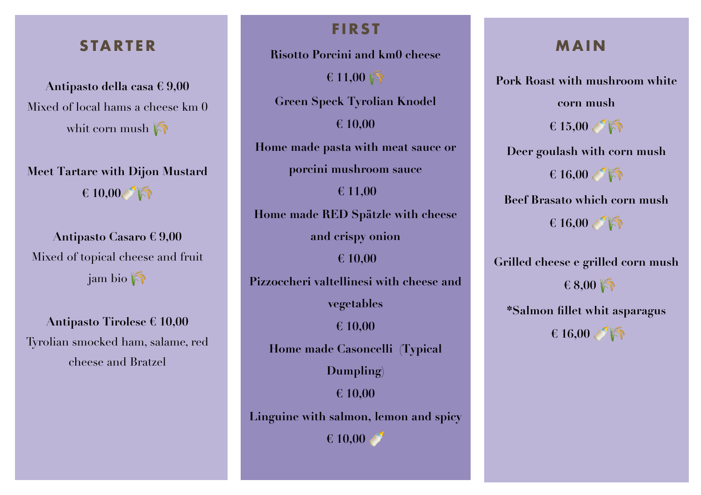### **STARTER**

**Antipasto della casa € 9,00** Mixed of local hams a cheese km 0 whit corn mush  $\bigcirc$ 

**Meet Tartare with Dijon Mustard € 10,00**

**Antipasto Casaro € 9,00** Mixed of topical cheese and fruit jam bio

**Antipasto Tirolese € 10,00** Tyrolian smocked ham, salame, red cheese and Bratzel

### **FIRST**

**Risotto Porcini and km0 cheese**

 $\epsilon$  11,00

**Green Speck Tyrolian Knodel**

**€ 10,00**

**Home made pasta with meat sauce or** 

**porcini mushroom sauce**

**€ 11,00 Home made RED Spätzle with cheese and crispy onion € 10,00 Pizzoccheri valtellinesi with cheese and** 

**vegetables** 

**€ 10,00 Home made Casoncelli (Typical** 

**Dumpling)**

**€ 10,00**

**Linguine with salmon, lemon and spicy** 

**€ 10,00** 

### **MAIN**

**Pork Roast with mushroom white** 

**corn mush**

**€ 15,00** 

**Deer goulash with corn mush** 

**€ 16,00** 

**Beef Brasato which corn mush**   $\epsilon$  16,00 **6** 

**Grilled cheese e grilled corn mush**

 **€ 8,00** 

**\*Salmon fillet whit asparagus**

**€ 16,00**